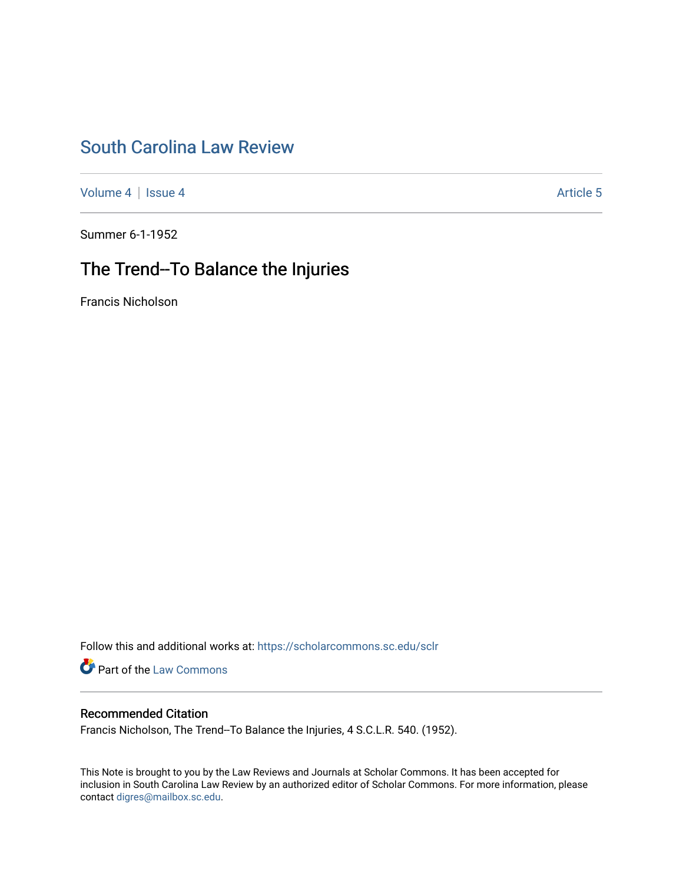# [South Carolina Law Review](https://scholarcommons.sc.edu/sclr)

[Volume 4](https://scholarcommons.sc.edu/sclr/vol4) | [Issue 4](https://scholarcommons.sc.edu/sclr/vol4/iss4) Article 5

Summer 6-1-1952

# The Trend--To Balance the Injuries

Francis Nicholson

Follow this and additional works at: [https://scholarcommons.sc.edu/sclr](https://scholarcommons.sc.edu/sclr?utm_source=scholarcommons.sc.edu%2Fsclr%2Fvol4%2Fiss4%2F5&utm_medium=PDF&utm_campaign=PDFCoverPages)

**Part of the [Law Commons](http://network.bepress.com/hgg/discipline/578?utm_source=scholarcommons.sc.edu%2Fsclr%2Fvol4%2Fiss4%2F5&utm_medium=PDF&utm_campaign=PDFCoverPages)** 

### Recommended Citation

Francis Nicholson, The Trend--To Balance the Injuries, 4 S.C.L.R. 540. (1952).

This Note is brought to you by the Law Reviews and Journals at Scholar Commons. It has been accepted for inclusion in South Carolina Law Review by an authorized editor of Scholar Commons. For more information, please contact [digres@mailbox.sc.edu.](mailto:digres@mailbox.sc.edu)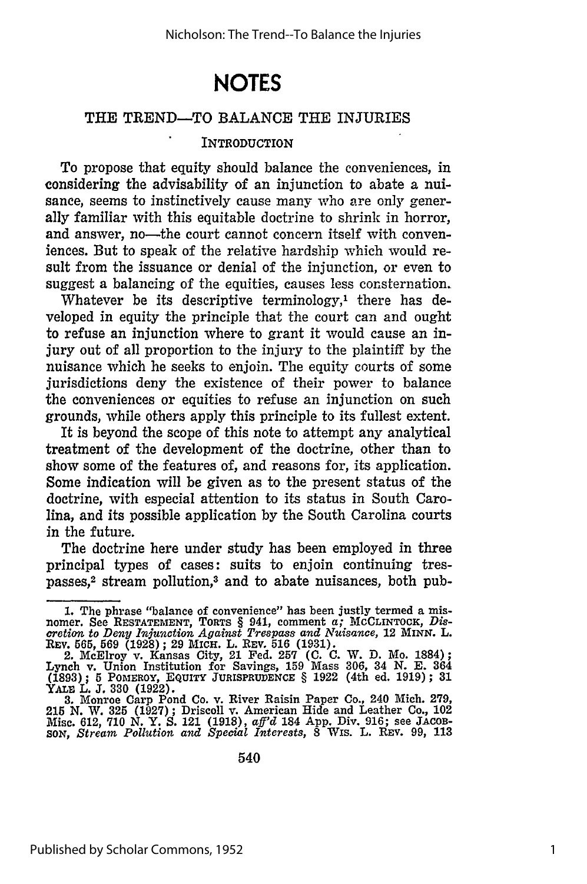# **NOTES**

#### THE TREND-TO BALANCE THE INJURIES

#### INTRODUCTION

To propose that equity should balance the conveniences, in considering the advisability of an injunction to abate a nuisance, seems to instinctively cause many who are only generally familiar with this equitable doctrine to shrink in horror, and answer, no-the court cannot concern itself with conveniences. But to speak of the relative hardship which would result from the issuance or denial of the injunction, or even to suggest a balancing of the equities, causes less consternation.

Whatever be its descriptive terminology,<sup>1</sup> there has developed in equity the principle that the court can and ought to refuse an injunction where to grant it would cause an injury out of all proportion to the injury to the plaintiff by the nuisance which he seeks to enjoin. The equity courts of some jurisdictions deny the existence of their power to balance the conveniences or equities to refuse an injunction on such grounds, while others apply this principle to its fullest extent.

It is beyond the scope of this note to attempt any analytical treatment of the development of the doctrine, other than to show some of the features of, and reasons for, its application. Some indication will be given as to the present status of the doctrine, with especial attention to its status in South Carolina, and its possible application by the South Carolina courts in the future.

The doctrine here under study has been employed in three principal types of cases: suits to enjoin continuing trespasses,<sup>2</sup> stream pollution,<sup>3</sup> and to abate nuisances, both pub-

<sup>1.</sup> The phrase "balance of convenience" has been justly termed a mis-<br>nomer. See RESTATEMENT, TORTS § 941, comment a; MCCLINTOCK, Dis-<br>cretion to Deny Injunction Against Trespass and Nuisance, 12 MINN. L.<br>REV. 565, 569 (192

<sup>2.</sup> McElroy v. Kansas City, 21 Fed. 257 (C. C. W. D. Mo. 1884);<br>Lynch v. Union Institution for Savings, 159 Mass 306, 34 N. E. 364<br>(1893); 5 POMEROY, EQUITY JURISPRUDENCE § 1922 (4th ed. 1919); 31<br>YALE L. J. 330 (1922).<br>3.

Misc. 612, **710 N.** Y. **S.** 121 **(1918),** *aff'd* 184 **App.** Div. **916;** see **JACOB-***SON, Stream Pollution and Special Interests,* 8 Wis. L. REV. 99, **113**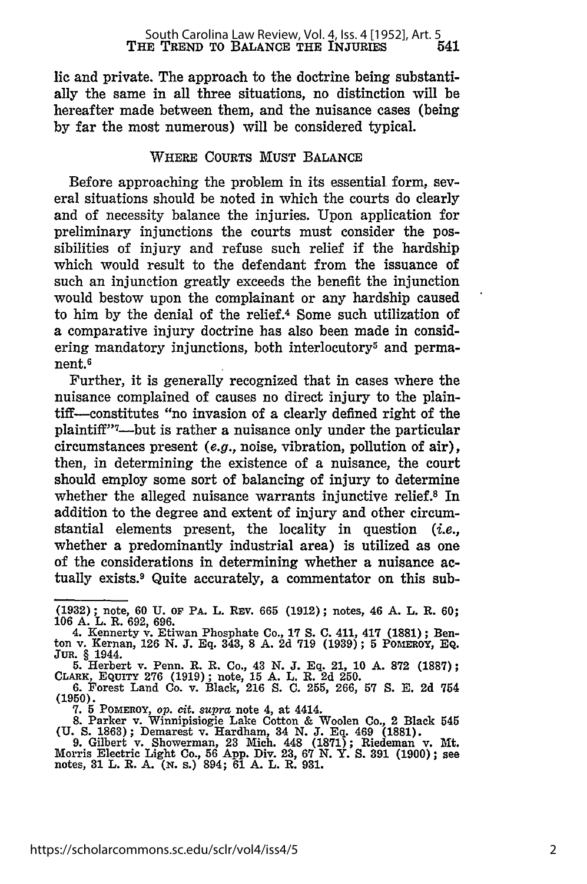lie and private. The approach to the doctrine being substantially the same in all three situations, no distinction will be hereafter made between them, and the nuisance cases (being **by** far the most numerous) will be considered typical.

### WHERE **COURTS MUST** BALANCE

Before approaching the problem in its essential form, several situations should be noted in which the courts do clearly and of necessity balance the injuries. Upon application for preliminary injunctions the courts must consider the possibilities of injury and refuse such relief if the hardship which would result to the defendant from the issuance of such an injunction greatly exceeds the benefit the injunction would bestow upon the complainant or any hardship caused to him **by** the denial of the relief.4 Some such utilization of a comparative injury doctrine has also been made in considering mandatory injunctions, both interlocutory<sup>5</sup> and permanent.6

Further, it is generally recognized that in cases where the nuisance complained of causes no direct injury to the plaintiff-constitutes "no invasion of a clearly defined right of the plaintiff"<sup>7</sup>-but is rather a nuisance only under the particular circumstances present (e.g., noise, vibration, pollution of air), then, in determining the existence of a nuisance, the court should employ some sort of balancing of injury to determine whether the alleged nuisance warrants injunctive relief.<sup>8</sup> In addition to the degree and extent of injury and other circumstantial elements present, the locality in question  $(i.e.,$ whether a predominantly industrial area) is utilized as one of the considerations in determining whether a nuisance actually exists.9 Quite accurately, a commentator on this sub-

**<sup>(1932);</sup>** note, **60 U. Or PA.** L. REv. **665 (1912);** notes, 46 **A.** L. R. **60; 106 A.** L. R. **692, 696.**

<sup>4.</sup> Kennerty v. Etiwan Phosphate Co., **17 S. C.** 411, 417 **(1881);** Ben-ton v. Kernan, **126 N. J. Eq.** 343, **8 A. 2d 719 (1939); 5 PoMERoY,** EQ. **JuR.** § 1944.

**<sup>5.</sup>** Herbert v. Penn. R. R. Co., 43 N. **J. Eq.** 21, **10** A. **872** (1887); CLARK, **EQUITY 276 (1919);** note, **15 A.** L. R. **2d 250.**

**<sup>6.</sup>** Forest Land Co. v. Black, **216 S. C. 255, 266, 57 S. E. 2d** 754 **(1950).**

**<sup>7. 5</sup> PomEROY,** *op. cit. supra* note 4, at 4414.

**<sup>8.</sup>** Parker v. Winnipisiogie Lake Cotton **&** Woolen Co., 2 Black 545 **(U. S. 1863);** Demarest v. Hardham, 34 **N. J. Eq.** 469 **(1881).**

<sup>9.</sup> Gilbert v. Showerman, 23 Mich. 448 (1871); Riedeman v. Mt.<br>Morris Electric Light Co., 56 App. Div. 23, 67 N. Y. S. 391 (1900); see<br>notes, 31 L. R. A. (N. S.) 894; 61 A. L. R. 931.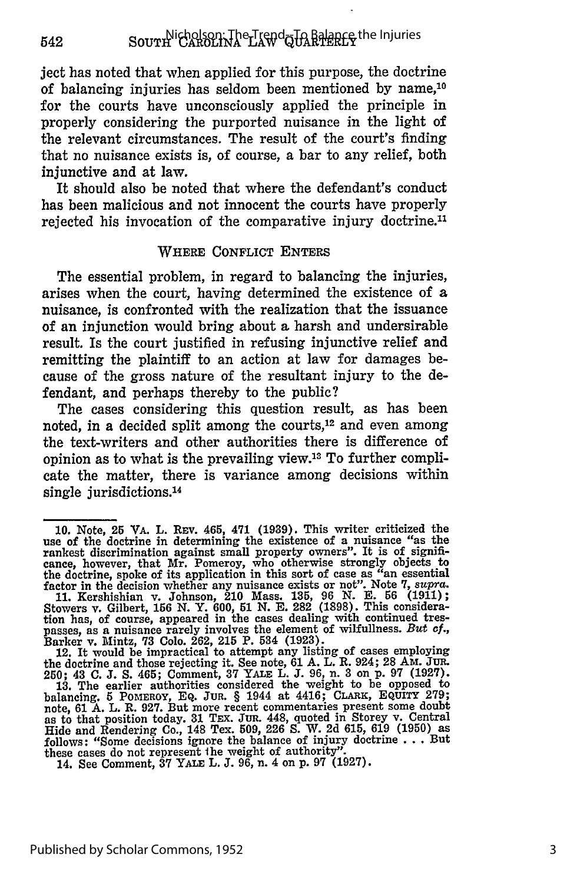ject has noted that when applied for this purpose, the doctrine of balancing injuries has seldom been mentioned **by** name,<sup>10</sup> for the courts have unconsciously applied the principle in properly considering the purported nuisance in the light of the relevant circumstances. The result of the court's finding that no nuisance exists is, of course, a bar to any relief, both injunctive and at law.

It should also be noted that where the defendant's conduct has been malicious and not innocent the courts have properly rejected his invocation of the comparative injury doctrine.'

#### WHERE CONFLICT **ENTERS**

The essential problem, in regard to balancing the injuries, arises when the court, having determined the existence of a nuisance, is confronted with the realization that the issuance of an injunction would bring about a harsh and undersirable result. Is the court justified in refusing injunctive relief and remitting the plaintiff to an action at law for damages because of the gross nature of the resultant injury to the defendant, and perhaps thereby to the public?

The cases considering this question result, as has been noted, in a decided split among the courts,<sup>12</sup> and even among the text-writers and other authorities there is difference of opinion as to what is the prevailing view.<sup>12</sup> To further complicate the matter, there is variance among decisions within single jurisdictions.<sup>14</sup>

Barker v. Mintz, **73 Colo. 262, 215** P. 534 **(1923).** 12. It would be impractical to attempt any listing of cases employing the doctrine and those rejecting it. See note, **61 A.** L. R. 924; **28** AM. **JUR.**

**<sup>10.</sup>** Note, 25 VA. L. **REv.** 465, 471 **(1939).** This writer criticized the use of the doctrine in determining the existence of a nuisance "as the rankest discrimination against small property owners". It is of significance, however, that Mr. Pomeroy, who otherwise strongly objects to the doctrine, spoke of its application in this sort of case as "an essential factor in the decision whether any nuisance exists or not". Note **7,** *supra.*

**<sup>11.</sup>** Kershishian v. Johnson, 210 Mass. **135, 96 N. E. 56 (1911);** Stowers v. Gilbert, 156 N. Y. 600, 51 N. E. 282 (1898). This consideration has, of course, appeared in the cases dealing with continued trespasses, as a nuisance rarely involves the element of wilfullness. But  $cf$ .

<sup>250; 43</sup> C. J. S. 465; Comment, 37 YALE L. J. 96, n. 3 on p. 97 (1927)<br>13. The earlier authorities considered the weight to be opposed to<br>balancing. 5 POMEROY, EQ. JUR. § 1944 at 4416; CLARK, EQUITY 279 note, 61 A. L. R. 927. But more recent commentaries present some doubt as to that position today. 31 TEX. Jun. 448, quoted in Storey v. Central **Hide** and Rendering Co., 148 Tex. **509, 226 S.** W. **2d 615, 619 (1950)** as follows: "Some decisions ignore the balance of injury doctrine **. . .** But these cases do not represent ihe weight of authority".

<sup>14.</sup> See Comment, **37** YALE L. **J. 96,** n. 4 on **p. 97 (1927).**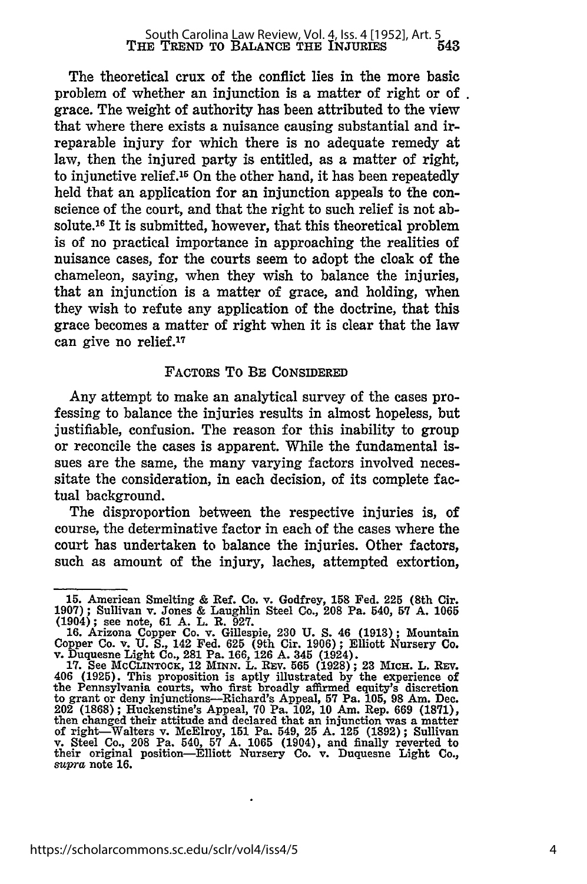The theoretical crux of the conflict lies in the more basic problem of whether an injunction is a matter of right or of. grace. The weight of authority has been attributed to the view that where there exists a nuisance causing substantial and irreparable injury for which there is no adequate remedy at law, then the injured party is entitled, as a matter of right, to injunctive relief.15 On the other hand, it has been repeatedly held that an application for an injunction appeals to the conscience of the court, and that the right to such relief is not absolute.16 It is submitted, however, that this theoretical problem is of no practical importance in approaching the realities of nuisance cases, for the courts seem to adopt the cloak of the chameleon, saying, when they wish to balance the injuries, that an injunction is a matter of grace, and holding, when they wish to refute any application of the doctrine, that this grace becomes a matter of right when it is clear that the law can give no relief.<sup>17</sup>

#### FACTORS To BE **CONSIDERED**

Any attempt to make an analytical survey of the cases professing to balance the injuries results in almost hopeless, but justifiable, confusion. The reason for this inability to group or reconcile the cases is apparent. While the fundamental issues are the same, the many varying factors involved necessitate the consideration, in each decision, of its complete factual background.

The disproportion between the respective injuries is, of course, the determinative factor in each of the cases where the court has undertaken to balance the injuries. Other factors, such as amount of the injury, laches, attempted extortion,

**<sup>15.</sup>** American Smelting **&** Ref. Co. v. Godfrey, **158** Fed. 225 (8th Cir. **1907);** Sullivan v. Jones **&** Laughlin Steel Co., **208** Pa. 540, **57 A. 1065** (1904); see note, **61 A.** L. R. **927.**

**<sup>16.</sup>** Arizona Copper Co. v. Gillespie, **230 U. S.** 46 **(1913);** Mountain Copper Co. v. **U. S.,** 142 Fed. **625** (9th **Cir. 1906);** Elliott Nursery Co. v. Duquesne Light Co., 281 Pa. **166, 126 A.** 345 (1924).

<sup>17.</sup> See MCCLINTOCK, 12 MINN. L. REV. 565 (1928); 23 MICH. L. REV. 406 (1925). This proposition is aptly illustrated by the experience of the Pennsylvania courts, who first broadly affirmed equity's discretion to grant or deny injunctions-Richard's Appeal, **57** Pa. **105, 98** Am. Dec. 202 **(1868);** Huckenstine's Appeal, **70** Pa. **102, 10** Am. Rep. **669 (1871),** then changed their attitude and declared that an injunction was a matter nch changed until attack and active and uniform and the distribution was a matter.<br>
We set also a set of right with the set of the set of the set of the set of the set of the set of the set of<br>
their original position—Elli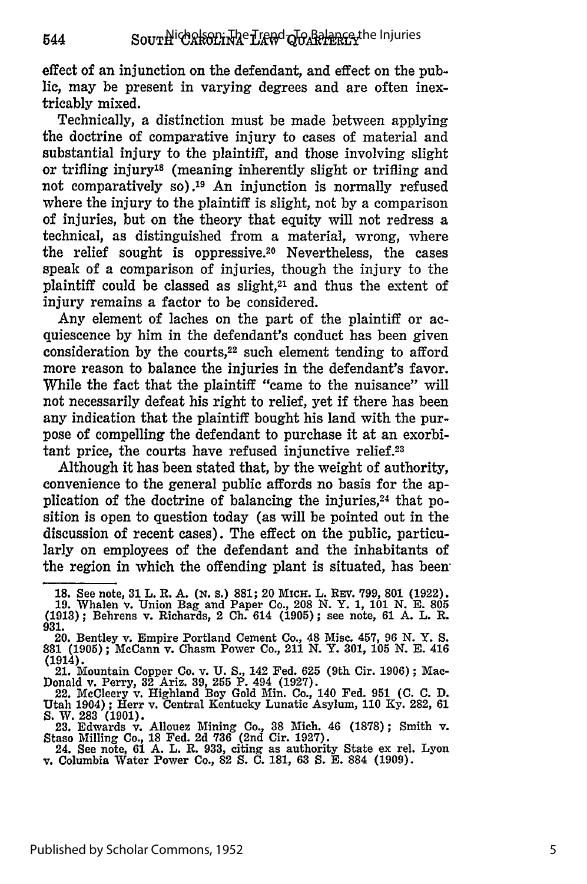effect of an injunction on the defendant, and effect on the public, may be present in varying degrees and are often inextricably mixed.

Technically, a distinction must be made between applying the doctrine of comparative injury to cases of material and substantial injury to the plaintiff, and those involving slight or trifling injury'8 (meaning inherently slight or trifling and not comparatively so).19 An injunction is normally refused where the injury to the plaintiff is slight, not by a comparison of injuries, but on the theory that equity will not redress a technical, as distinguished from a material, wrong, where the relief sought is oppressive.20 Nevertheless, the cases speak of a comparison of injuries, though the injury to the plaintiff could be classed as slight, $2<sup>1</sup>$  and thus the extent of injury remains a factor to be considered.

Any element of laches on the part of the plaintiff or acquiescence by him in the defendant's conduct has been given consideration by the courts, $22$  such element tending to afford more reason to balance the injuries in the defendant's favor. While the fact that the plaintiff "came to the nuisance" will not necessarily defeat his right to relief, yet if there has been any indication that the plaintiff bought his land with the purpose of compelling the defendant to purchase it at an exorbitant price, the courts have refused injunctive relief.<sup>23</sup>

Although it has been stated that, by the weight of authority, convenience to the general public affords no basis for the application of the doctrine of balancing the injuries,<sup>24</sup> that position is open to question today (as will be pointed out in the discussion of recent cases). The effect on the public, particularly on employees of the defendant and the inhabitants of the region in which the offending plant is situated, has been

- **(1913);** Behrens v. Richards, 2 **Ch.** 614 **(1905);** see note, **61 A.** L. R. **931.**
- 20. Bentley v. Empire Portland Cement Co., 48 Misc. 457, 96 **N.** Y. **S. 831 (1905)** ; McCann v. Chasm Power Co., 211 **N.** Y. **301, 105 N. E.** 416 (1914).

**<sup>18.</sup> See note, 31 L. R. A. (N. s.) 881; 20 MICH. L. REV. 799, 801 (1922) 19.** Whalen v. Union Bag and Paper Co., **208 N.** Y. **1, 101 N. E. 805**

<sup>21.</sup> Mountain Copper Co. v. **U. S.,** 142 Fed. 625 (9th Cir. 1906); Mac-Donald v. Perry, **32 Ariz. 39, 255** P. 494 **(1927).**

<sup>22.</sup> McCleery v. Highland Boy Gold Min. Co., 140 Fed. **951 (C. C. D.** Utah 1904) **;** Herr v. Central Kentucky Lunatic Asylum, **110 Ky. 282, 61 S.** W. **283 (1901). 23.** Edwards v. Allouez Mining Co., **38** Mich. 46 **(1878);** Smith v.

Staso Milling Co., 18 Fed. 2d 736 (2nd Cir. 1927).<br>24. See note, 61 A. L. R. 933, citing as authority State ex rel. Lyon<br>v. Columbia Water Power Co., 82 S. C. 181, 63 S. E. 884 (1909).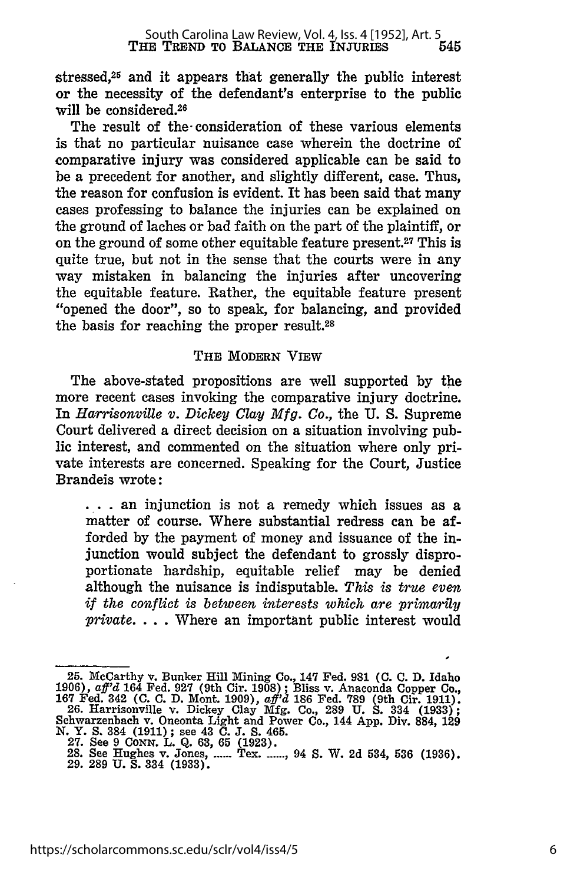stressed,25 and it appears that generally the public interest or the necessity of the defendant's enterprise to the public will be considered.<sup>26</sup>

The result of the- consideration of these various elements is that no particular nuisance case wherein the doctrine of comparative injury was considered applicable can be said to be a precedent for another, and slightly different, case. Thus, the reason for confusion is evident. It has been said that many cases professing to balance the injuries can be explained on the ground of laches or bad faith on the part of the plaintiff, or on the ground of some other equitable feature present.27 This is quite true, but not in the sense that the courts were in any way mistaken in balancing the injuries after uncovering the equitable feature. Rather, the equitable feature present "opened the door", so to speak, for balancing, and provided the basis for reaching the proper result.28

#### THE MODERN VIEW

The above-stated propositions are well supported **by** the more recent cases invoking the comparative injury doctrine. In *Harrisonville v. Dickey Clay Mfg. Co.,* the **U. S.** Supreme Court delivered a direct decision on a situation involving public interest, and commented on the situation where only private interests are concerned. Speaking for the Court, Justice Brandeis wrote:

**S. .** an injunction is not a remedy which issues as a matter of course. Where substantial redress can be afforded **by** the payment of money and issuance of the injunction would subject the defendant to grossly disproportionate hardship, equitable relief may be denied although the nuisance is indisputable. *This is true even if the conflict is between interests which are primarily private.* ... Where an important public interest would

<sup>25.</sup> McCarthy v. Bunker Hill Mining Co., 147 Fed. 981 (C. C. D. Idaho<br>1906), *aff'd* 164 Fed. 927 (9th Cir. 1908); Bliss v. Anaconda Copper Co.<br>167 Fed. 342 (C. C. D. Mont. 1909), *aff'd* 186 Fed. 789 (9th Cir. 1911)<br>26. Ha Schwarzenbach v. Oneonta Light and Power Co., 144 App. Div. 884, 128<br>N. Y. S. 384 (1911); see 43 C. J. S. 465.<br>27. See 9 Conn. L. Q. 63, 65 (1923).<br>28. See Hughes v. Jones, ...... Tex. ......, 94 S. W. 2d 534, 536 (1936).<br>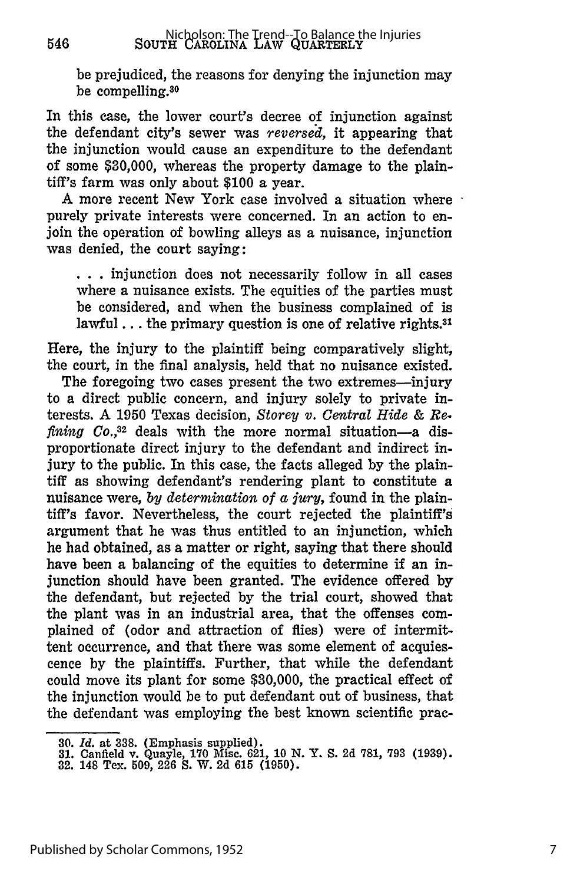be prejudiced, the reasons for denying the injunction may be compelling.<sup>30</sup>

In this case, the lower court's decree of injunction against the defendant city's sewer was *reversed,* it appearing that the injunction would cause an expenditure to the defendant of some **\$30,000,** whereas the property damage to the plaintiff's farm was only about **\$100** a year.

A more recent New York case involved a situation where purely private interests were concerned. In an action to enjoin the operation of bowling alleys as a nuisance, injunction was denied, the court saying:

**• . .** injunction does not necessarily follow in all cases where a nuisance exists. The equities of the parties must be considered, and when the business complained of is lawful... the primary question is one of relative rights.<sup>31</sup>

Here, the injury to the plaintiff being comparatively slight, the court, in the final analysis, held that no nuisance existed.

The foregoing two cases present the two extremes-injury to a direct public concern, and injury solely to private interests. A **1950** Texas decision, *Storey v. Central Hide & Refining Co.*<sup>32</sup> deals with the more normal situation—a disproportionate direct injury to the defendant and indirect injury to the public. In this case, the facts alleged by the plaintiff as showing defendant's rendering plant to constitute a nuisance were, *by determination of a jury,* found in the plaintiff's favor. Nevertheless, the court rejected the plaintiff's argument that he was thus entitled to an injunction, which he had obtained, as a matter or right, saying that there should have been a balancing of the equities to determine if an injunction should have been granted. The evidence offered by the defendant, but rejected by the trial court, showed that the plant was in an industrial area, that the offenses complained of (odor and attraction of flies) were of intermittent occurrence, and that there was some element of acquiescence by the plaintiffs. Further, that while the defendant could move its plant for some \$30,000, the practical effect of the injunction would be to put defendant out of business, that the defendant was employing the best known scientific prac-

546

<sup>30.</sup> *Id.* at 338. (Emphasis supplied). **31.** Canfield v. Quayle, 170 Misc. 621, 10 N. Y. S. 2d 781, 793 (1939).

**<sup>32.</sup>** 148 Tex. 509, 226 S. W. 2d 615 (1950).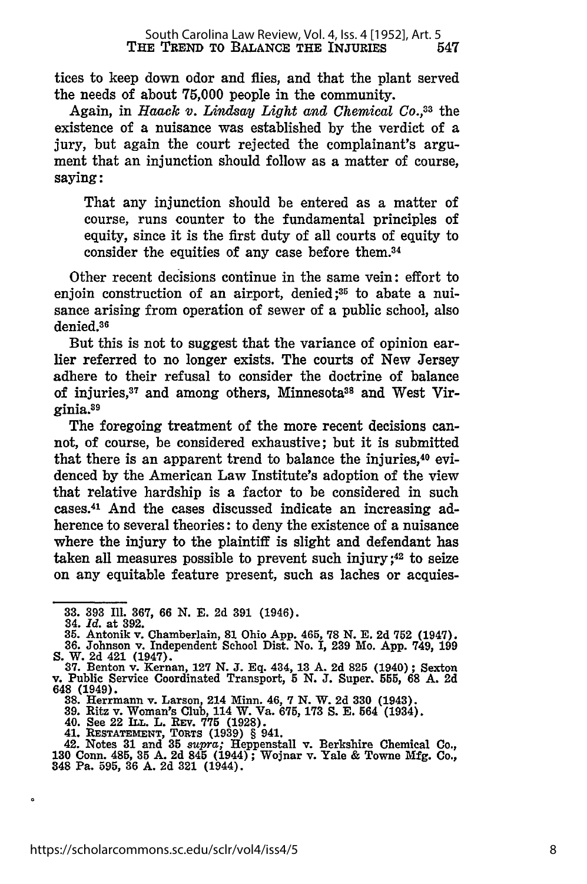tices to keep down odor and flies, and that the plant served the needs of about **75,000** people in the community.

Again, in *Haack v. Lindsay Light and Chemical Co.,33* the existence of a nuisance was established by the verdict of a jury, but again the court rejected the complainant's argument that an injunction should follow as a matter of course, saying:

That any injunction should be entered as a matter of course, runs counter to the fundamental principles of equity, since it is the first duty of all courts of equity to consider the equities of any case before them. <sup>34</sup>

Other recent decisions continue in the same vein: effort to enjoin construction of an airport, denied;<sup>35</sup> to abate a nuisance arising from operation of sewer of a public school, also denied.<sup>36</sup>

But this is not to suggest that the variance of opinion earlier referred to no longer exists. The courts of New Jersey adhere to their refusal to consider the doctrine of balance of injuries,<sup>37</sup> and among others, Minnesota<sup>38</sup> and West Virginia. <sup>9</sup>

The foregoing treatment of the more recent decisions cannot, of course, be considered exhaustive; but it is submitted that there is an apparent trend to balance the injuries, 40 evidenced **by** the American Law Institute's adoption of the view that relative hardship is a factor to be considered in such cases. 41 And the cases discussed indicate an increasing adherence to several theories: to deny the existence of a nuisance where the injury to the plaintiff is slight and defendant has taken all measures possible to prevent such injury **;42** to seize on any equitable feature present, such as laches or acquies-

**<sup>33. 393</sup> Ill. 367, 66 N. E. 2d 391** (1946). 34. *Id.* at **392.**

**<sup>35.</sup>** Antonik v. Chamberlain, **81** Ohio App. 465, **78 N. E. 2d 752** (1947).

**<sup>36.</sup>** Johnson v. Independent School Dist. No. **I, 239** Mo. **App.** 749, **199 S.** W. **2d** 421 (1947). **37.** Benton v. Kernan, **127 N. J. Eq.** 434, **13 A. 2d 825** (1940); Sexton

v. Public Service Coordinated Transport, **5 N. J.** Super. 555, **68 A. 2d** 648 (1949).<br>
88. Herrmann v. Larson, 214 Minn. 46, 7 N. W. 2d 330 (1943).<br>
39. Ritz v. Woman's Club, 114 W. Va. 675, 173 S. E. 564 (1934).<br>
40. See 22 ILL. L. REV. 775 (1928).<br>
41. RESTATEMENT, TORTS (1939) § 941.<br>
42. No

**<sup>130</sup>** Conn. 485, **35 A.** 2d 845 (1944) ; Wojnar v. Yale & Towne **Mfg.** Co., 348 Pa. 595, **36** A. 2d **321** (1944).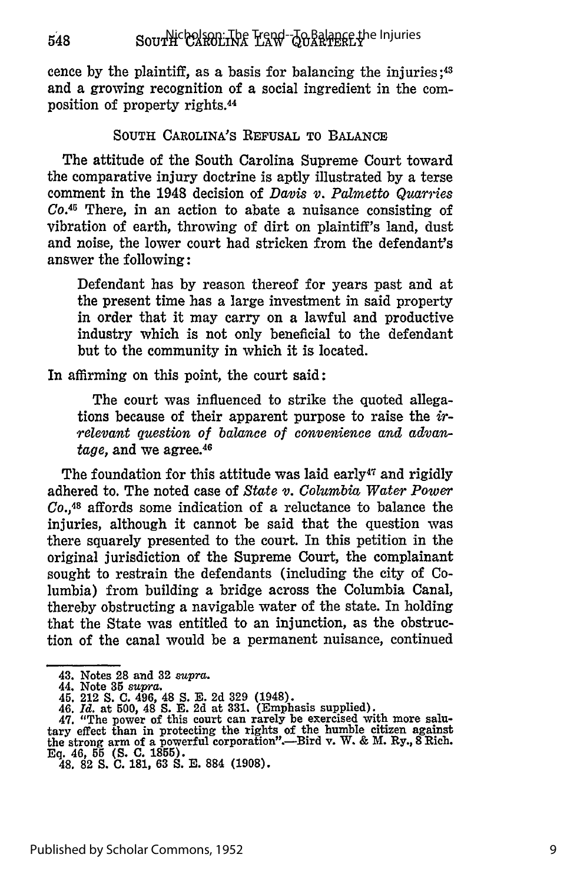cence by the plaintiff, as a basis for balancing the injuries;<sup>43</sup> and a growing recognition of a social ingredient in the composition of property rights.<sup>44</sup>

#### **SOUTH** CAROLINA'S **REFUSAL TO BALANCE**

The attitude of the South Carolina Supreme Court toward the comparative injury doctrine is aptly illustrated by a terse comment in the 1948 decision of *Davis v. Palmetto Quarries Co.<sup>4</sup> <sup>5</sup>*There, in an action to abate a nuisance consisting of vibration of earth, throwing of dirt on plaintiff's land, dust and noise, the lower court had stricken from the defendant's answer the following:

Defendant has by reason thereof for years past and at the present time has a large investment in said property in order that it may carry on a lawful and productive industry which is not only beneficial to the defendant but to the community in which it is located.

In affirming on this point, the court said:

The court was influenced to strike the quoted allegations because of their apparent purpose to raise the  $ir$ *relevant question of balance of convenience and advantage,* and we agree. <sup>46</sup>

The foundation for this attitude was laid early<sup>47</sup> and rigidly adhered to. The noted case of *State v. Columbia Water Power Co.,48* affords some indication of a reluctance to balance the injuries, although it cannot be said that the question was there squarely presented to the court. In this petition in the original jurisdiction of the Supreme Court, the complainant sought to restrain the defendants (including the city of Columbia) from building a bridge across the Columbia Canal, thereby obstructing a navigable water of the state. In holding that the State was entitled to an injunction, as the obstruction of the canal would be a permanent nuisance, continued

548

**<sup>43.</sup> Notes 28 and 32** *supra.*

**<sup>44.</sup>** Note **35** *supra.* **45. 212 S. C. 496, 48 S. E. 2d 329 (1948).**

**<sup>46.</sup>** *Id.* **at 500, 48 S. E. 2d at 331. (Emphasis supplied).**

**<sup>47. &</sup>quot;The power of this court can rarely be exercised with more salu-tary effect than in protecting the rights of the humble citizen against the strong arm of a powerful corporation".-Bird v. W. & M. Ry., 8 Rich. Eq. 46, 55 (S. C. 1855). 48. 82 S. C. 181, 63 S. E. 884 (1908).**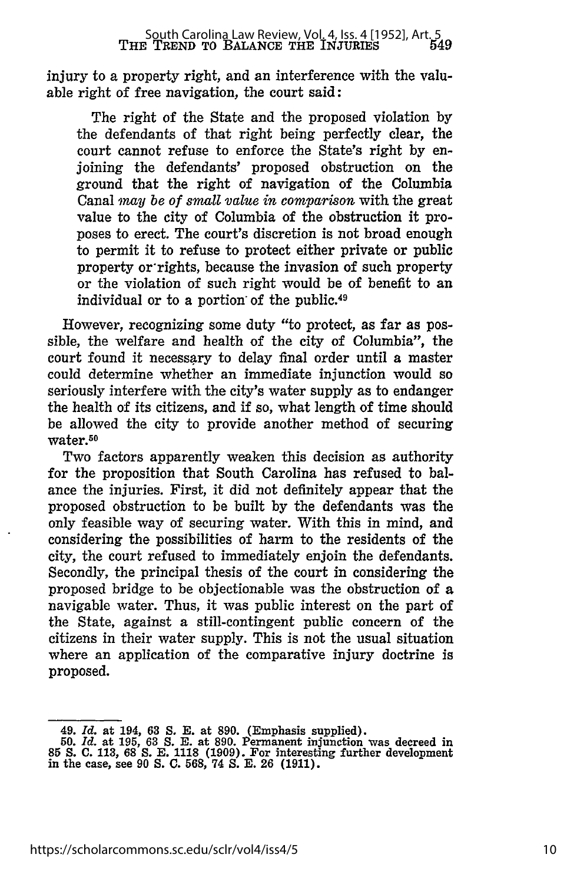injury to a property right, and an interference with the valuable right of free navigation, the court said:

The right of the State and the proposed violation by the defendants of that right being perfectly clear, the court cannot refuse to enforce the State's right by enjoining the defendants' proposed obstruction on the ground that the right of navigation of the Columbia Canal *may be of small value in comparison* with the great value to the city of Columbia of the obstruction it proposes to erect. The court's discretion is not broad enough to permit it to refuse to protect either private or public property or rights, because the invasion of such property or the violation of such right would be of benefit to an individual or to a portion of the public.<sup>49</sup>

However, recognizing some duty "to protect, as far as possible, the welfare and health of the city of Columbia", the court found it necessary to delay final order until a master could determine whether an immediate injunction would so seriously interfere with the city's water supply as to endanger the health of its citizens, and if so, what length of time should be allowed the city to provide another method of securing water.50

Two factors apparently weaken this decision as authority for the proposition that South Carolina has refused to balance the injuries. First, it did not definitely appear that the proposed obstruction to be built by the defendants was the only feasible way of securing water. With this in mind, and considering the possibilities of harm to the residents of the city, the court refused to immediately enjoin the defendants. Secondly, the principal thesis of the court in considering the proposed bridge to be objectionable was the obstruction of a navigable water. Thus, it was public interest on the part of the State, against a still-contingent public concern of the citizens in their water supply. This is not the usual situation where an application of the comparative injury doctrine is proposed.

<sup>49.</sup> *Id.* at 194, 63 *S.* **E.** at 890. (Emphasis supplied).

<sup>50.</sup> *Id.* at 195, 63 **S. E.** at 890. Permanent injunction was decreed in **85 S. C.** 113, **68** *S.* **E.** 1118 (1909). For interesting further development in the case, see 90 **S. C.** 568, 74 **S.** E. 26 (1911).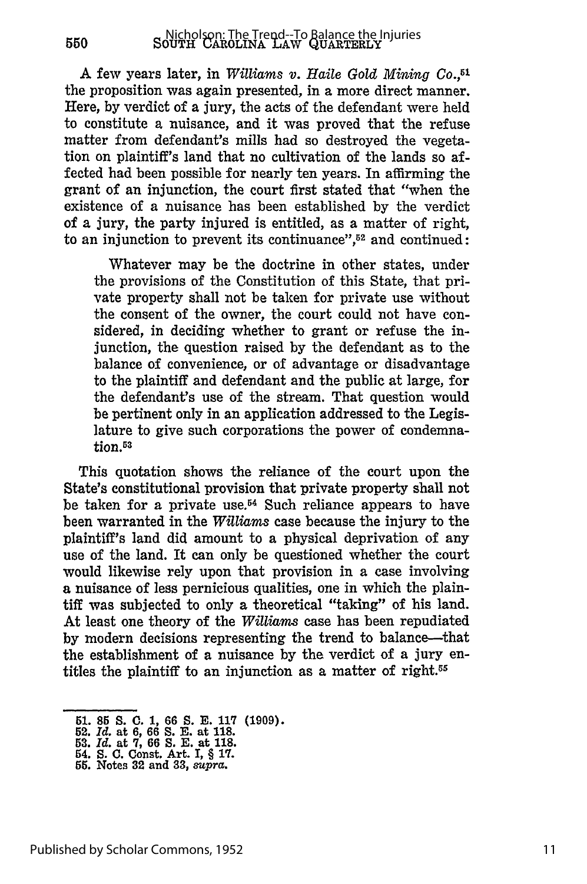A few years later, in *Williams v. Haile Gold Mining Co.,51* the proposition was again presented, in a more direct manner. Here, by verdict of a jury, the acts of the defendant were held to constitute a nuisance, and it was proved that the refuse matter from defendant's mills had so destroyed the vegetation on plaintiff's land that no cultivation of the lands so affected had been possible for nearly ten years. In affirming the grant of an injunction, the court first stated that "when the existence of a nuisance has been established by the verdict of a jury, the party injured is entitled, as a matter of right, to an injunction to prevent its continuance",<sup>52</sup> and continued:

Whatever may be the doctrine in other states, under the provisions of the Constitution of this State, that private property shall not be taken for private use without the consent of the owner, the court could not have considered, in deciding whether to grant or refuse the injunction, the question raised by the defendant as to the balance of convenience, or of advantage or disadvantage to the plaintiff and defendant and the public at large, for the defendant's use of the stream. That question would be pertinent only in an application addressed to the Legislature to give such corporations the power of condemnation.<sup>53</sup>

This quotation shows the reliance of the court upon the State's constitutional provision that private property shall not be taken for a private use.<sup>54</sup> Such reliance appears to have been warranted in the *Williams* case because the injury to the plaintiff's land did amount to a physical deprivation of any use of the land. It can only be questioned whether the court would likewise rely upon that provision in a case involving a nuisance of less pernicious qualities, one in which the plaintiff was subjected to only a theoretical "taking" of his land. At least one theory of the *Williams* case has been repudiated by modern decisions representing the trend to balance-that the establishment of a nuisance by the verdict of a jury entitles the plaintiff to an injunction as a matter of right.<sup>55</sup>

550

**<sup>51. 85</sup> S. C. 1, 66 S. E. 117 (1909). 52.** *Id.* at **6, 66 S. E.** at **118.**

**<sup>53.</sup>** *Id.* at **7, 66 S. E. at 118.**

**<sup>54.</sup> S. C. Const. Art. I,** § **17. 55. Notes 32 and 33,** *supra.*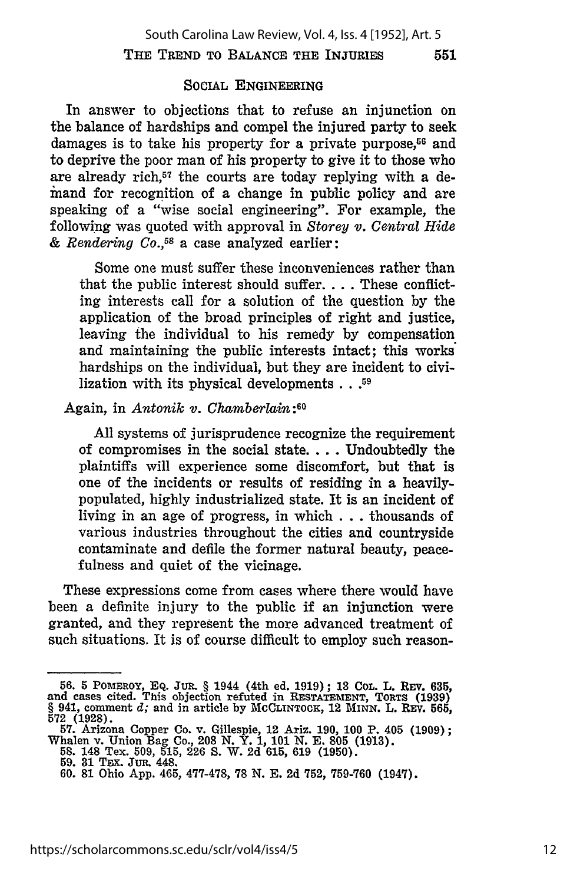#### **SOCIAL** ENGINEERING

In answer to objections that to refuse an injunction on the balance of hardships and compel the injured party to seek damages is to take his property for a private purpose, $56$  and to deprive the poor man of his property to give it to those who are already rich,<sup>57</sup> the courts are today replying with a denand for recognition of a change in public policy and are speaking of a "wise social engineering". For example, the following was quoted with approval in *Storey v. Central Hide* & *Rendering Co.,6 8* a case analyzed earlier:

Some one must suffer these inconveniences rather than that the public interest should suffer **....** These conflicting interests call for a solution of the question by the application of the broad principles of right and justice, leaving the individual to his remedy by compensation and maintaining the public interests intact; this works hardships on the individual, but they are incident to civilization with its physical developments  $\ldots$ <sup>59</sup>

#### Again, in *Antonik v. Chamberlain* :60

All systems of jurisprudence recognize the requirement of compromises in the social state.... Undoubtedly the plaintiffs will experience some discomfort, but that is one of the incidents or results of residing in a heavilypopulated, highly industrialized state. It is an incident of living in an age of progress, in which **...** thousands of various industries throughout the cities and countryside contaminate and defile the former natural beauty, peacefulness and quiet of the vicinage.

These expressions come from cases where there would have been a definite injury to the public if an injunction were granted, and they represent the more advanced treatment of such situations. It is of course difficult to employ such reason-

**<sup>56. 5</sup> POMEROY, EQ.** JuR § 1944 (4th ed. **1919); 13 COL. L. Ray. 635,** and cases cited. This objection refuted in **RESTATEMENT, TORTS (1939)** § 941, comment *d;* and in article **by MCCLINTOCK,** 12 MINN. L. **REv. 565, 572 (1928). 57.** Arizona Copper Co. v. Gillespie, 12 Ariz. **190, 100** P. 405 **(1909);**

Whalen v. Union Bag Co., **208 N.** Y. **1, 101 N. E. 805 (1913).**

**<sup>58.</sup>** 148 Tex. **509, 515, 226 S.** W. **2d 615, 619 (1950). 59. 31** Tax. **Jua.** 448.

**<sup>60. 81</sup>** Ohio App. 465, 477-478, **78 N. E. 2d 752, 759-760** (1947).